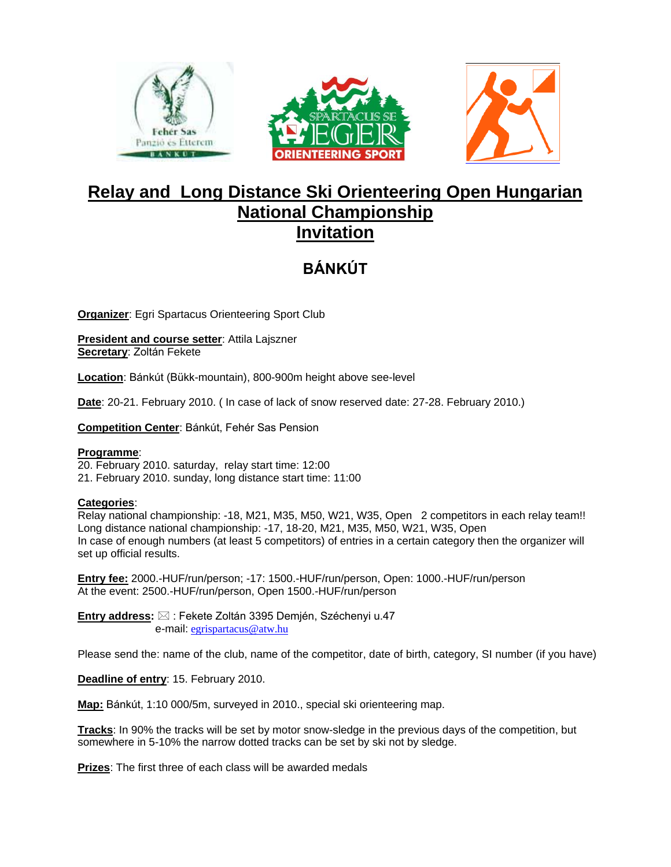





## **Relay and Long Distance Ski Orienteering Open Hungarian National Championship Invitation**

# **BÁNKÚT**

**Organizer**: Egri Spartacus Orienteering Sport Club

**President and course setter**: Attila Lajszner **Secretary**: Zoltán Fekete

**Location**: Bánkút (Bükk-mountain), 800-900m height above see-level

**Date**: 20-21. February 2010. ( In case of lack of snow reserved date: 27-28. February 2010.)

**Competition Center**: Bánkút, Fehér Sas Pension

#### **Programme**:

20. February 2010. saturday, relay start time: 12:00 21. February 2010. sunday, long distance start time: 11:00

#### **Categories**:

Relay national championship: -18, M21, M35, M50, W21, W35, Open 2 competitors in each relay team!! Long distance national championship: -17, 18-20, M21, M35, M50, W21, W35, Open In case of enough numbers (at least 5 competitors) of entries in a certain category then the organizer will set up official results.

**Entry fee:** 2000.-HUF/run/person; -17: 1500.-HUF/run/person, Open: 1000.-HUF/run/person At the event: 2500.-HUF/run/person, Open 1500.-HUF/run/person

**Entry address:** ⊠ : Fekete Zoltán 3395 Demjén, Széchenyi u.47 e-mail: [egrispartacus@atw.hu](mailto:egrispartacus@atw.hu)

Please send the: name of the club, name of the competitor, date of birth, category, SI number (if you have)

**Deadline of entry**: 15. February 2010.

**Map:** Bánkút, 1:10 000/5m, surveyed in 2010., special ski orienteering map.

**Tracks**: In 90% the tracks will be set by motor snow-sledge in the previous days of the competition, but somewhere in 5-10% the narrow dotted tracks can be set by ski not by sledge.

**Prizes**: The first three of each class will be awarded medals